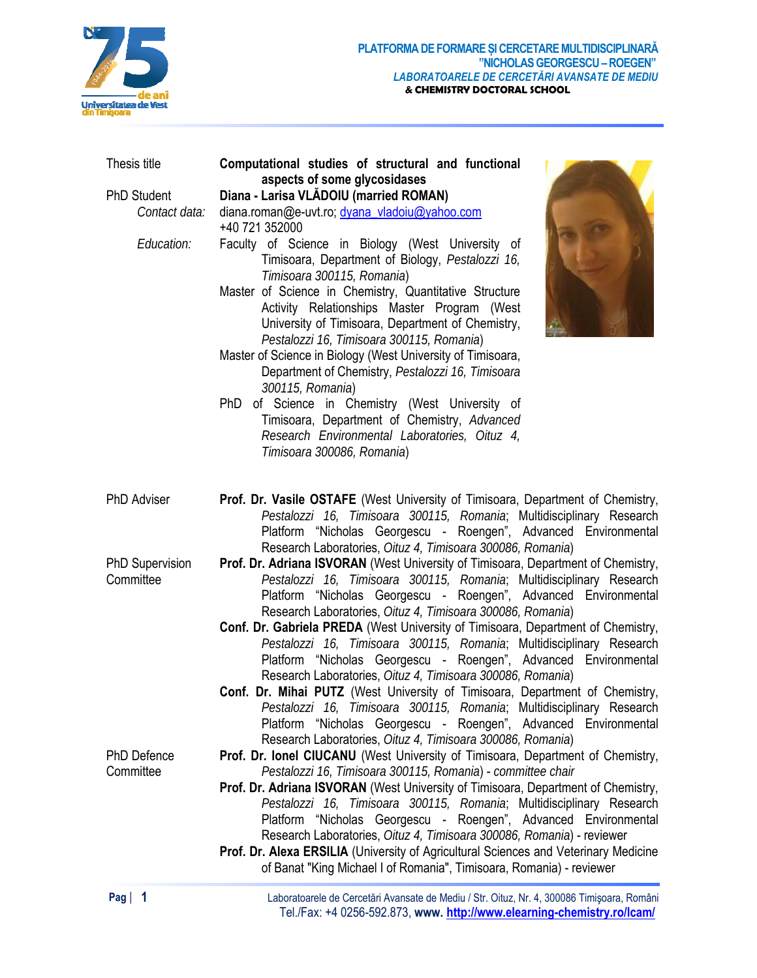

| Thesis title                                      | Computational studies of structural and functional<br>aspects of some glycosidases                                                                                                                                                                                                                                                                                                                                                                                                                                                                                                                                                                                                                                                                                                    |
|---------------------------------------------------|---------------------------------------------------------------------------------------------------------------------------------------------------------------------------------------------------------------------------------------------------------------------------------------------------------------------------------------------------------------------------------------------------------------------------------------------------------------------------------------------------------------------------------------------------------------------------------------------------------------------------------------------------------------------------------------------------------------------------------------------------------------------------------------|
| <b>PhD Student</b><br>Contact data:<br>Education: | Diana - Larisa VLADOIU (married ROMAN)<br>diana.roman@e-uvt.ro; dyana vladoiu@yahoo.com<br>+40 721 352000<br>Faculty of Science in Biology (West University of<br>Timisoara, Department of Biology, Pestalozzi 16,<br>Timisoara 300115, Romania)<br>Master of Science in Chemistry, Quantitative Structure<br>Activity Relationships Master Program (West<br>University of Timisoara, Department of Chemistry,<br>Pestalozzi 16, Timisoara 300115, Romania)<br>Master of Science in Biology (West University of Timisoara,<br>Department of Chemistry, Pestalozzi 16, Timisoara<br>300115, Romania)<br>PhD of Science in Chemistry (West University of<br>Timisoara, Department of Chemistry, Advanced<br>Research Environmental Laboratories, Oituz 4,<br>Timisoara 300086, Romania) |
| <b>PhD Adviser</b>                                | Prof. Dr. Vasile OSTAFE (West University of Timisoara, Department of Chemistry,<br>Pestalozzi 16, Timisoara 300115, Romania; Multidisciplinary Research<br>Platform "Nicholas Georgescu - Roengen", Advanced Environmental                                                                                                                                                                                                                                                                                                                                                                                                                                                                                                                                                            |
| <b>PhD Supervision</b><br>Committee               | Research Laboratories, Oituz 4, Timisoara 300086, Romania)<br>Prof. Dr. Adriana ISVORAN (West University of Timisoara, Department of Chemistry,<br>Pestalozzi 16, Timisoara 300115, Romania; Multidisciplinary Research<br>Platform "Nicholas Georgescu - Roengen", Advanced Environmental<br>Research Laboratories, Oituz 4, Timisoara 300086, Romania)<br>Conf. Dr. Gabriela PREDA (West University of Timisoara, Department of Chemistry,<br>Pestalozzi 16, Timisoara 300115, Romania; Multidisciplinary Research<br>Platform "Nicholas Georgescu - Roengen", Advanced Environmental<br>Research Laboratories, Oituz 4, Timisoara 300086, Romania)<br>Conf. Dr. Mihai PUTZ (West University of Timisoara, Department of Chemistry,                                                 |
|                                                   | Pestalozzi 16, Timisoara 300115, Romania; Multidisciplinary Research<br>Platform "Nicholas Georgescu - Roengen", Advanced Environmental<br>Research Laboratories, Oituz 4, Timisoara 300086, Romania)                                                                                                                                                                                                                                                                                                                                                                                                                                                                                                                                                                                 |
| <b>PhD Defence</b><br>Committee                   | Prof. Dr. Ionel CIUCANU (West University of Timisoara, Department of Chemistry,<br>Pestalozzi 16, Timisoara 300115, Romania) - committee chair<br>Prof. Dr. Adriana ISVORAN (West University of Timisoara, Department of Chemistry,<br>Pestalozzi 16, Timisoara 300115, Romania; Multidisciplinary Research<br>Platform "Nicholas Georgescu - Roengen", Advanced Environmental<br>Research Laboratories, Oituz 4, Timisoara 300086, Romania) - reviewer<br>Prof. Dr. Alexa ERSILIA (University of Agricultural Sciences and Veterinary Medicine<br>of Banat "King Michael I of Romania", Timisoara, Romania) - reviewer                                                                                                                                                               |

Laboratoarele de Cercetări Avansate de Mediu / Str. Oituz, Nr. 4, 300086 Timişoara, Români Tel./Fax: +4 0256-592.873, **www. http://www.elearning-chemistry.ro/lcam/**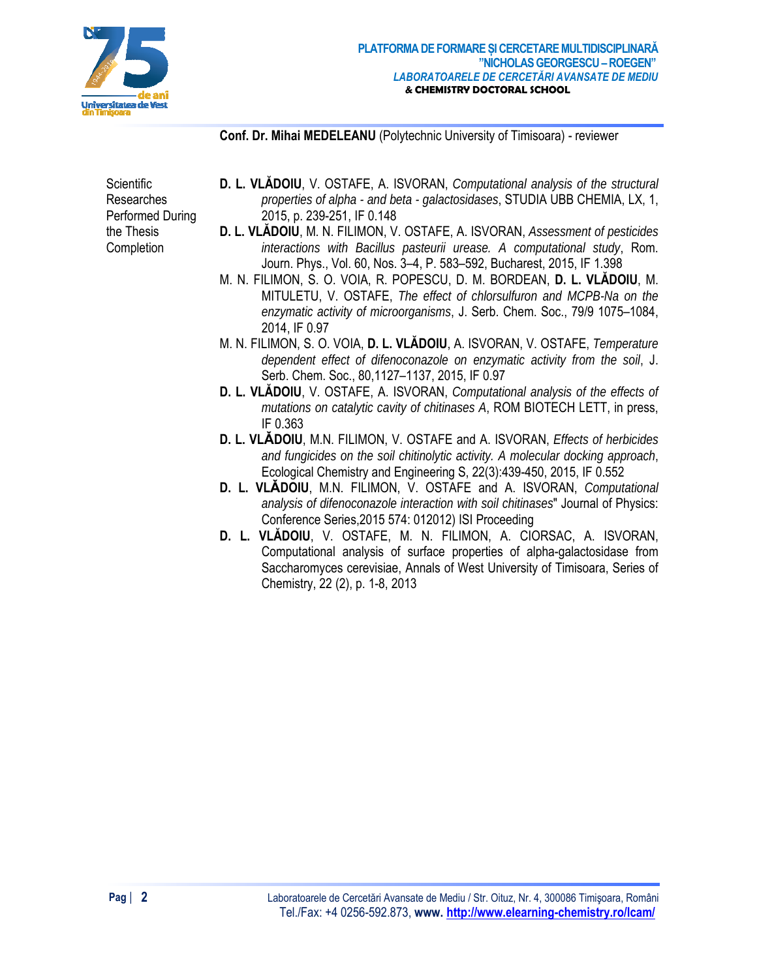

Conf. Dr. Mihai MEDELEANU (Polytechnic University of Timisoara) - reviewer

Scientific **Researches** Performed During the Thesis Completion

- **D. L. VLADOIU,** V. OSTAFE, A. ISVORAN, *Computational analysis of the structural* properties of alpha - and beta - galactosidases, STUDIA UBB CHEMIA, LX, 1, 2015, p. 239-251, IF 0.148
- D. L. VLĂDOIU, M. N. FILIMON, V. OSTAFE, A. ISVORAN, Assessment of pesticides interactions with Bacillus pasteurii urease. A computational study, Rom. Journ. Phys., Vol. 60, Nos. 3-4, P. 583-592, Bucharest, 2015, IF 1.398
- m. n. filimon, s. o. voia, r. popescu, d. m. bordean, **d. l. vlădoiu**, m. MITULETU, V. OSTAFE, The effect of chlorsulfuron and MCPB-Na on the enzymatic activity of microorganisms, J. Serb. Chem. Soc., 79/9 1075-1084, 2014. IF 0.97
- M. N. FILIMON, S. O. VOIA, D. L. VLĂDOIU, A. ISVORAN, V. OSTAFE, Temperature dependent effect of difenoconazole on enzymatic activity from the soil, J. Serb. Chem. Soc., 80,1127-1137, 2015, IF 0.97
- **D. L. VLADOIU,** V. OSTAFE, A. ISVORAN, *Computational analysis of the effects of* mutations on catalytic cavity of chitinases A, ROM BIOTECH LETT, in press, IF 0.363
- **D. L. VLADOIU, M.N. FILIMON, V. OSTAFE and A. ISVORAN, Effects of herbicides** and fungicides on the soil chitinolytic activity. A molecular docking approach, Ecological Chemistry and Engineering S, 22(3):439-450, 2015, IF 0.552
- D. L. VLADOIU, M.N. FILIMON, V. OSTAFE and A. ISVORAN, Computational analysis of difenoconazole interaction with soil chitinases" Journal of Physics: Conference Series, 2015 574: 012012) ISI Proceeding
- D. L. VLĂDOIU, V. OSTAFE, M. N. FILIMON, A. CIORSAC, A. ISVORAN, Computational analysis of surface properties of alpha-galactosidase from Saccharomyces cerevisiae, Annals of West University of Timisoara, Series of Chemistry, 22 (2), p. 1-8, 2013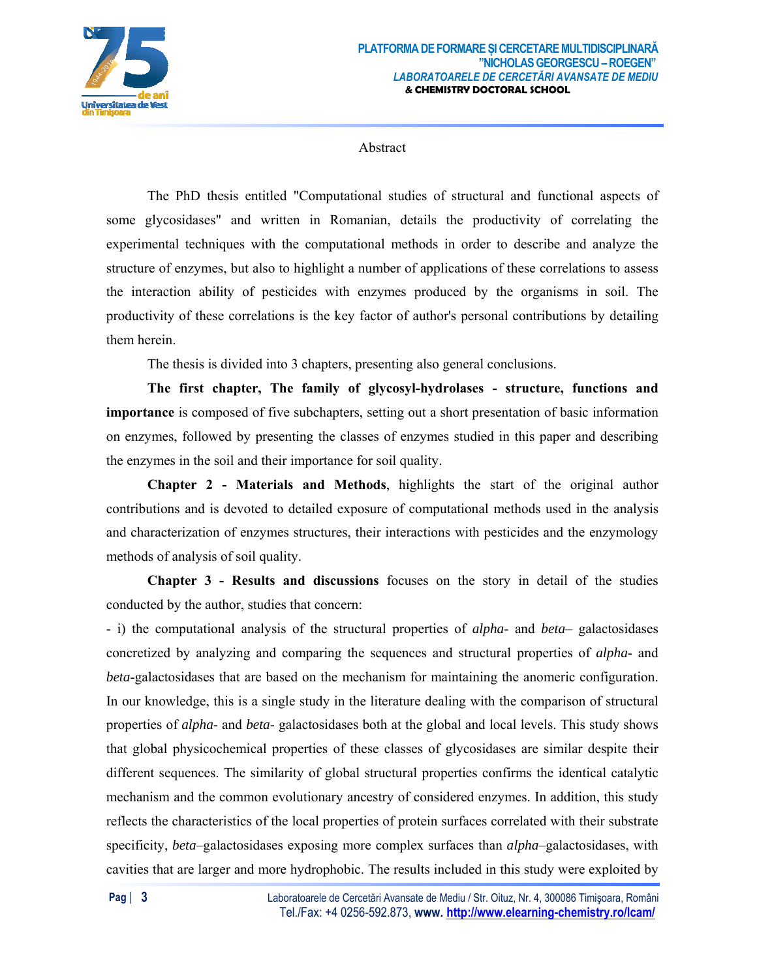

Abstract

The PhD thesis entitled "Computational studies of structural and functional aspects of some glycosidases" and written in Romanian, details the productivity of correlating the experimental techniques with the computational methods in order to describe and analyze the structure of enzymes, but also to highlight a number of applications of these correlations to assess the interaction ability of pesticides with enzymes produced by the organisms in soil. The productivity of these correlations is the key factor of author's personal contributions by detailing them herein.

The thesis is divided into 3 chapters, presenting also general conclusions.

The first chapter, The family of glycosyl-hydrolases - structure, functions and **importance** is composed of five subchapters, setting out a short presentation of basic information on enzymes, followed by presenting the classes of enzymes studied in this paper and describing the enzymes in the soil and their importance for soil quality.

Chapter 2 - Materials and Methods, highlights the start of the original author contributions and is devoted to detailed exposure of computational methods used in the analysis and characterization of enzymes structures, their interactions with pesticides and the enzymology methods of analysis of soil quality.

**Chapter 3 - Results and discussions** focuses on the story in detail of the studies conducted by the author, studies that concern:

- i) the computational analysis of the structural properties of *alpha*- and *beta*- galactosidases concretized by analyzing and comparing the sequences and structural properties of alpha- and *beta*-galactosidases that are based on the mechanism for maintaining the anomeric configuration. In our knowledge, this is a single study in the literature dealing with the comparison of structural properties of *alpha*- and *beta*- galactosidases both at the global and local levels. This study shows that global physicochemical properties of these classes of glycosidases are similar despite their different sequences. The similarity of global structural properties confirms the identical catalytic mechanism and the common evolutionary ancestry of considered enzymes. In addition, this study reflects the characteristics of the local properties of protein surfaces correlated with their substrate specificity, *beta*-galactosidases exposing more complex surfaces than *alpha*-galactosidases, with cavities that are larger and more hydrophobic. The results included in this study were exploited by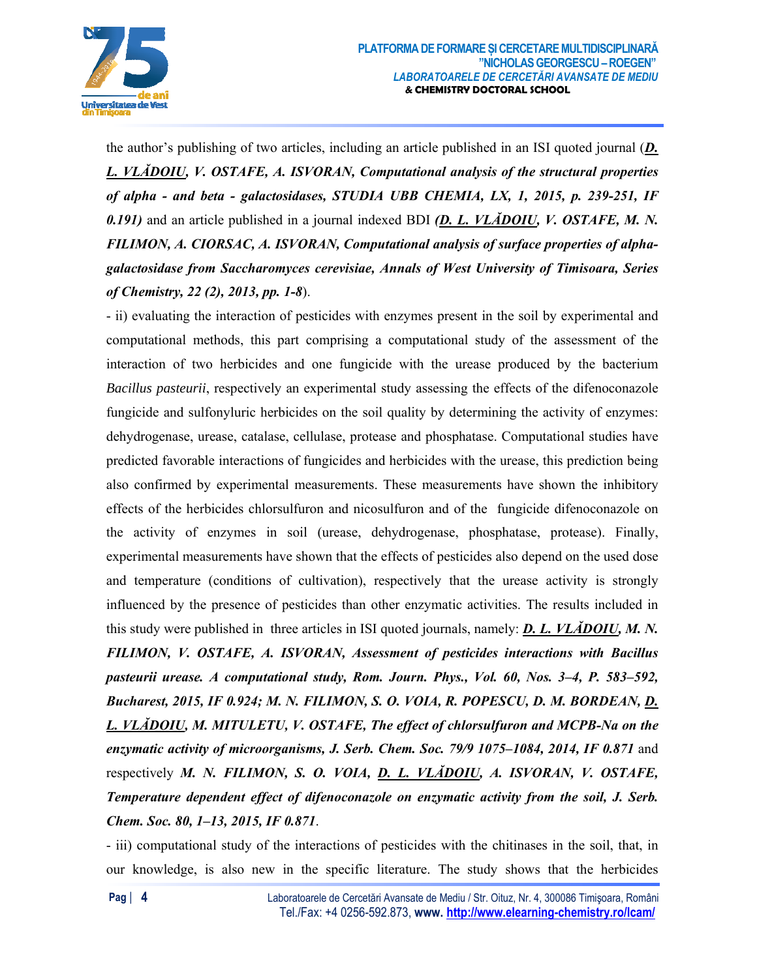

the author's publishing of two articles, including an article published in an ISI quoted journal  $(D_1, D_2)$ L. VLADOIU, V. OSTAFE, A. ISVORAN, Computational analysis of the structural properties of alpha - and beta - galactosidases, STUDIA UBB CHEMIA, LX, 1, 2015, p. 239-251, IF 0.191) and an article published in a journal indexed BDI (D. L. VLADOIU, V. OSTAFE, M. N. FILIMON, A. CIORSAC, A. ISVORAN, Computational analysis of surface properties of alphagalactosidase from Saccharomyces cerevisiae, Annals of West University of Timisoara, Series of Chemistry, 22 (2), 2013, pp. 1-8).

- ii) evaluating the interaction of pesticides with enzymes present in the soil by experimental and computational methods, this part comprising a computational study of the assessment of the interaction of two herbicides and one fungicide with the urease produced by the bacterium Bacillus pasteurii, respectively an experimental study assessing the effects of the difenoconazole fungicide and sulfonyluric herbicides on the soil quality by determining the activity of enzymes: dehydrogenase, urease, catalase, cellulase, protease and phosphatase. Computational studies have predicted favorable interactions of fungicides and herbicides with the urease, this prediction being also confirmed by experimental measurements. These measurements have shown the inhibitory effects of the herbicides chlorsulfuron and nicosulfuron and of the fungicide difenoconazole on the activity of enzymes in soil (urease, dehydrogenase, phosphatase, protease). Finally, experimental measurements have shown that the effects of pesticides also depend on the used dose and temperature (conditions of cultivation), respectively that the urease activity is strongly influenced by the presence of pesticides than other enzymatic activities. The results included in this study were published in three articles in ISI quoted journals, namely: **D. L. VLADOIU, M. N.** FILIMON, V. OSTAFE, A. ISVORAN, Assessment of pesticides interactions with Bacillus pasteurii urease. A computational study, Rom. Journ. Phys., Vol. 60, Nos. 3–4, P. 583–592, Bucharest, 2015, IF 0.924; M. N. FILIMON, S. O. VOIA, R. POPESCU, D. M. BORDEAN, D. L. VLADOIU, M. MITULETU, V. OSTAFE, The effect of chlorsulfuron and MCPB-Na on the enzymatic activity of microorganisms, J. Serb. Chem. Soc. 79/9 1075–1084, 2014, IF 0.871 and respectively M. N. FILIMON, S. O. VOIA, D. L. VLADOIU, A. ISVORAN, V. OSTAFE, Temperature dependent effect of difenoconazole on enzymatic activity from the soil, J. Serb. Chem. Soc. 80, 1-13, 2015, IF 0.871.

- iii) computational study of the interactions of pesticides with the chitinases in the soil, that, in our knowledge, is also new in the specific literature. The study shows that the herbicides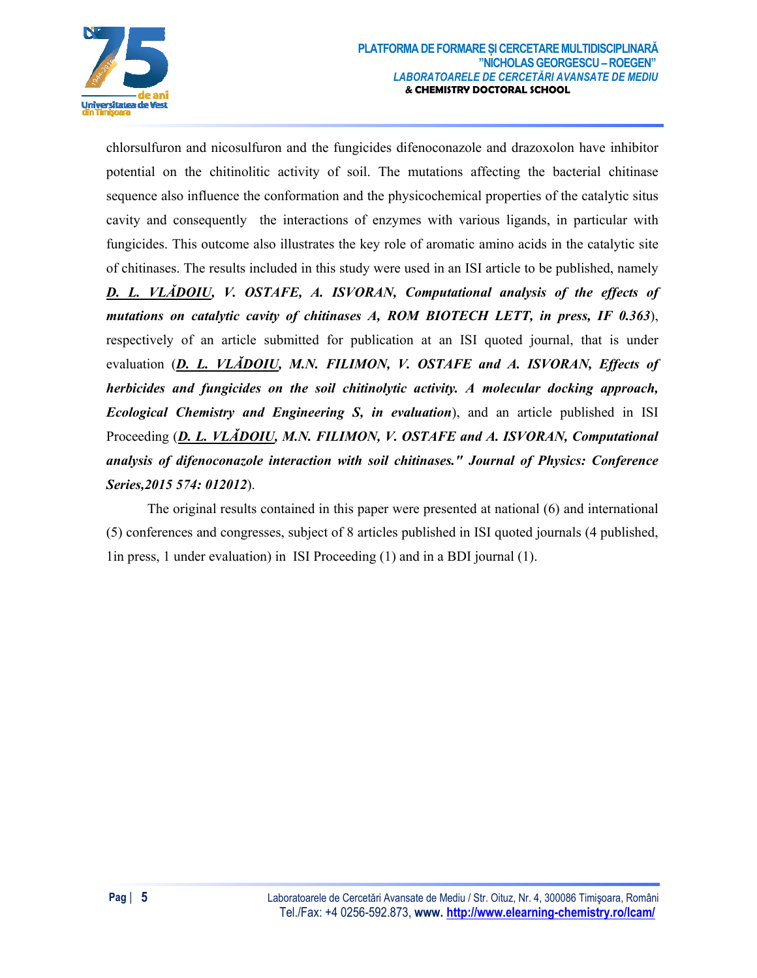

chlorsulfuron and nicosulfuron and the fungicides difenoconazole and drazoxolon have inhibitor potential on the chitinolitic activity of soil. The mutations affecting the bacterial chitinase sequence also influence the conformation and the physicochemical properties of the catalytic situs cavity and consequently the interactions of enzymes with various ligands, in particular with fungicides. This outcome also illustrates the key role of aromatic amino acids in the catalytic site of chitinases. The results included in this study were used in an ISI article to be published, namely D. L. VLADOIU, V. OSTAFE, A. ISVORAN, Computational analysis of the effects of mutations on catalytic cavity of chitinases A, ROM BIOTECH LETT, in press, IF 0.363). respectively of an article submitted for publication at an ISI quoted journal, that is under evaluation (D. L. VLADOIU, M.N. FILIMON, V. OSTAFE and A. ISVORAN, Effects of herbicides and fungicides on the soil chitinolytic activity. A molecular docking approach, *Ecological Chemistry and Engineering S, in evaluation*), and an article published in ISI Proceeding (D. L. VLADOIU, M.N. FILIMON, V. OSTAFE and A. ISVORAN, Computational analysis of difenoconazole interaction with soil chitinases." Journal of Physics: Conference Series, 2015 574: 012012).

The original results contained in this paper were presented at national (6) and international (5) conferences and congresses, subject of 8 articles published in ISI quoted journals (4 published, 1 lin press, 1 under evaluation) in ISI Proceeding (1) and in a BDI journal (1).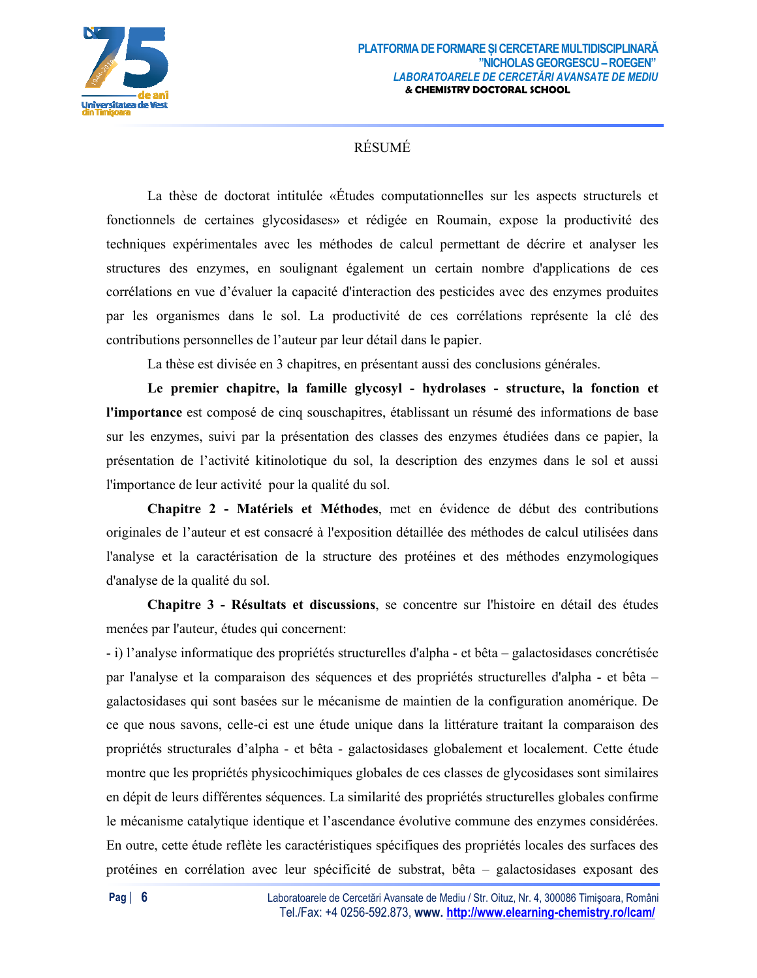

## RÉSUMÉ

 La thèse de doctorat intitulée «Études computationnelles sur les aspects structurels et fonctionnels de certaines glycosidases» et rédigée en Roumain, expose la productivité des techniques expérimentales avec les méthodes de calcul permettant de décrire et analyser les structures des enzymes, en soulignant également un certain nombre d'applications de ces corrélations en vue d'évaluer la capacité d'interaction des pesticides avec des enzymes produites par les organismes dans le sol. La productivité de ces corrélations représente la clé des contributions personnelles de l'auteur par leur détail dans le papier.

La thèse est divisée en 3 chapitres, en présentant aussi des conclusions générales.

**Le premier chapitre, la famille glycosyl - hydrolases - structure, la fonction et l'importance** est composé de cinq souschapitres, établissant un résumé des informations de base sur les enzymes, suivi par la présentation des classes des enzymes étudiées dans ce papier, la présentation de l'activité kitinolotique du sol, la description des enzymes dans le sol et aussi l'importance de leur activité pour la qualité du sol.

**Chapitre 2 - Matériels et Méthodes**, met en évidence de début des contributions originales de l'auteur et est consacré à l'exposition détaillée des méthodes de calcul utilisées dans l'analyse et la caractérisation de la structure des protéines et des méthodes enzymologiques d'analyse de la qualité du sol.

**Chapitre 3 - Résultats et discussions**, se concentre sur l'histoire en détail des études menées par l'auteur, études qui concernent:

- i) l'analyse informatique des propriétés structurelles d'alpha - et bêta – galactosidases concrétisée par l'analyse et la comparaison des séquences et des propriétés structurelles d'alpha - et bêta – galactosidases qui sont basées sur le mécanisme de maintien de la configuration anomérique. De ce que nous savons, celle-ci est une étude unique dans la littérature traitant la comparaison des propriétés structurales d'alpha - et bêta - galactosidases globalement et localement. Cette étude montre que les propriétés physicochimiques globales de ces classes de glycosidases sont similaires en dépit de leurs différentes séquences. La similarité des propriétés structurelles globales confirme le mécanisme catalytique identique et l'ascendance évolutive commune des enzymes considérées. En outre, cette étude reflète les caractéristiques spécifiques des propriétés locales des surfaces des protéines en corrélation avec leur spécificité de substrat, bêta – galactosidases exposant des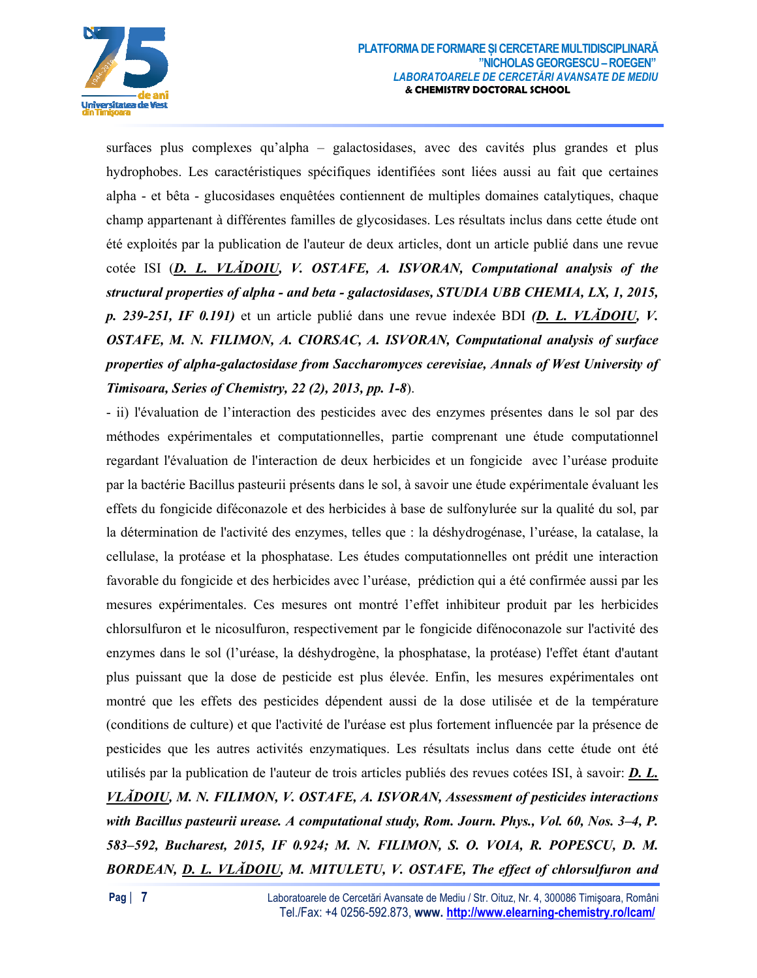

surfaces plus complexes qu'alpha - galactosidases, avec des cavités plus grandes et plus hydrophobes. Les caractéristiques spécifiques identifiées sont liées aussi au fait que certaines alpha - et bêta - glucosidases enquêtées contiennent de multiples domaines catalytiques, chaque champ appartenant à différentes familles de glycosidases. Les résultats inclus dans cette étude ont été exploités par la publication de l'auteur de deux articles, dont un article publié dans une revue cotée ISI (D. L. VLADOIU, V. OSTAFE, A. ISVORAN, Computational analysis of the structural properties of alpha - and beta - galactosidases, STUDIA UBB CHEMIA, LX, 1, 2015, p. 239-251, IF 0.191) et un article publié dans une revue indexée BDI (D. L. VLADOIU, V. OSTAFE, M. N. FILIMON, A. CIORSAC, A. ISVORAN, Computational analysis of surface properties of alpha-galactosidase from Saccharomyces cerevisiae, Annals of West University of Timisoara, Series of Chemistry, 22 (2), 2013, pp. 1-8).

- ii) l'évaluation de l'interaction des pesticides avec des enzymes présentes dans le sol par des méthodes expérimentales et computationnelles, partie comprenant une étude computationnel regardant l'évaluation de l'interaction de deux herbicides et un fongicide avec l'uréase produite par la bactérie Bacillus pasteurii présents dans le sol, à savoir une étude expérimentale évaluant les effets du fongicide diféconazole et des herbicides à base de sulfonylurée sur la qualité du sol, par la détermination de l'activité des enzymes, telles que : la déshydrogénase, l'uréase, la catalase, la cellulase, la protéase et la phosphatase. Les études computationnelles ont prédit une interaction favorable du fongicide et des herbicides avec l'uréase, prédiction qui a été confirmée aussi par les mesures expérimentales. Ces mesures ont montré l'effet inhibiteur produit par les herbicides chlorsulfuron et le nicosulfuron, respectivement par le fongicide difénoconazole sur l'activité des enzymes dans le sol (l'uréase, la déshydrogène, la phosphatase, la protéase) l'effet étant d'autant plus puissant que la dose de pesticide est plus élevée. Enfin, les mesures expérimentales ont montré que les effets des pesticides dépendent aussi de la dose utilisée et de la température (conditions de culture) et que l'activité de l'uréase est plus fortement influencée par la présence de pesticides que les autres activités enzymatiques. Les résultats inclus dans cette étude ont été utilisés par la publication de l'auteur de trois articles publiés des revues cotées ISI, à savoir: **D. L.** VLADOIU, M. N. FILIMON, V. OSTAFE, A. ISVORAN, Assessment of pesticides interactions with Bacillus pasteurii urease. A computational study, Rom. Journ. Phys., Vol. 60, Nos. 3-4, P. 583-592, Bucharest, 2015, IF 0.924; M. N. FILIMON, S. O. VOIA, R. POPESCU, D. M. BORDEAN, D. L. VLADOIU, M. MITULETU, V. OSTAFE, The effect of chlorsulfuron and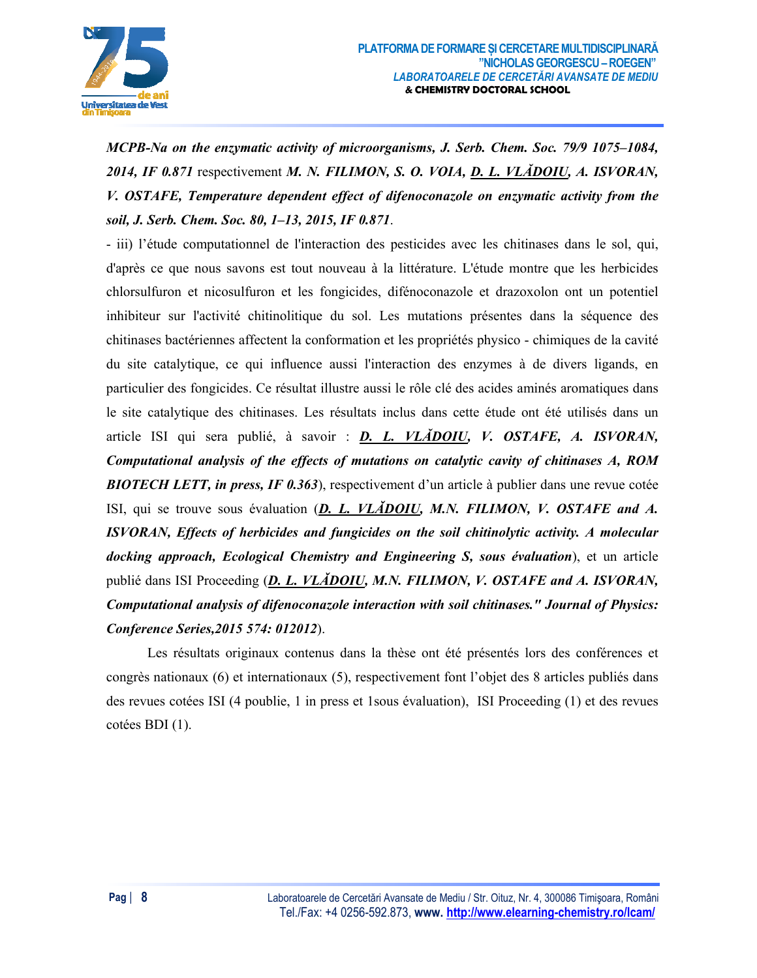

MCPB-Na on the enzymatic activity of microorganisms, J. Serb. Chem. Soc. 79/9 1075–1084, 2014, IF 0.871 respectivement M. N. FILIMON, S. O. VOIA, D. L. VLADOIU, A. ISVORAN, V. OSTAFE, Temperature dependent effect of difenoconazole on enzymatic activity from the soil, J. Serb. Chem. Soc. 80, 1-13, 2015, IF 0.871.

- iii) l'étude computationnel de l'interaction des pesticides avec les chitinases dans le sol, qui, d'après ce que nous savons est tout nouveau à la littérature. L'étude montre que les herbicides chlorsulfuron et nicosulfuron et les fongicides, difénoconazole et drazoxolon ont un potentiel inhibiteur sur l'activité chitinolitique du sol. Les mutations présentes dans la séquence des chitinases bactériennes affectent la conformation et les propriétés physico - chimiques de la cavité du site catalytique, ce qui influence aussi l'interaction des enzymes à de divers ligands, en particulier des fongicides. Ce résultat illustre aussi le rôle clé des acides aminés aromatiques dans le site catalytique des chitinases. Les résultats inclus dans cette étude ont été utilisés dans un article ISI qui sera publié, à savoir : **D. L. VLADOIU, V. OSTAFE, A. ISVORAN,** Computational analysis of the effects of mutations on catalytic cavity of chitinases A, ROM **BIOTECH LETT, in press, IF 0.363**), respectivement d'un article à publier dans une revue cotée ISI, qui se trouve sous évaluation (D. L. VLADOIU, M.N. FILIMON, V. OSTAFE and A. ISVORAN, Effects of herbicides and fungicides on the soil chitinolytic activity. A molecular docking approach, Ecological Chemistry and Engineering S, sous évaluation), et un article publié dans ISI Proceeding (D. L. VLADOIU, M.N. FILIMON, V. OSTAFE and A. ISVORAN, Computational analysis of difenoconazole interaction with soil chitinases." Journal of Physics: Conference Series, 2015 574: 012012).

Les résultats originaux contenus dans la thèse ont été présentés lors des conférences et congrès nationaux  $(6)$  et internationaux  $(5)$ , respectivement font l'objet des 8 articles publiés dans des revues cotées ISI (4 poublie, 1 in press et 1 sous évaluation). ISI Proceeding (1) et des revues cotées BDI (1).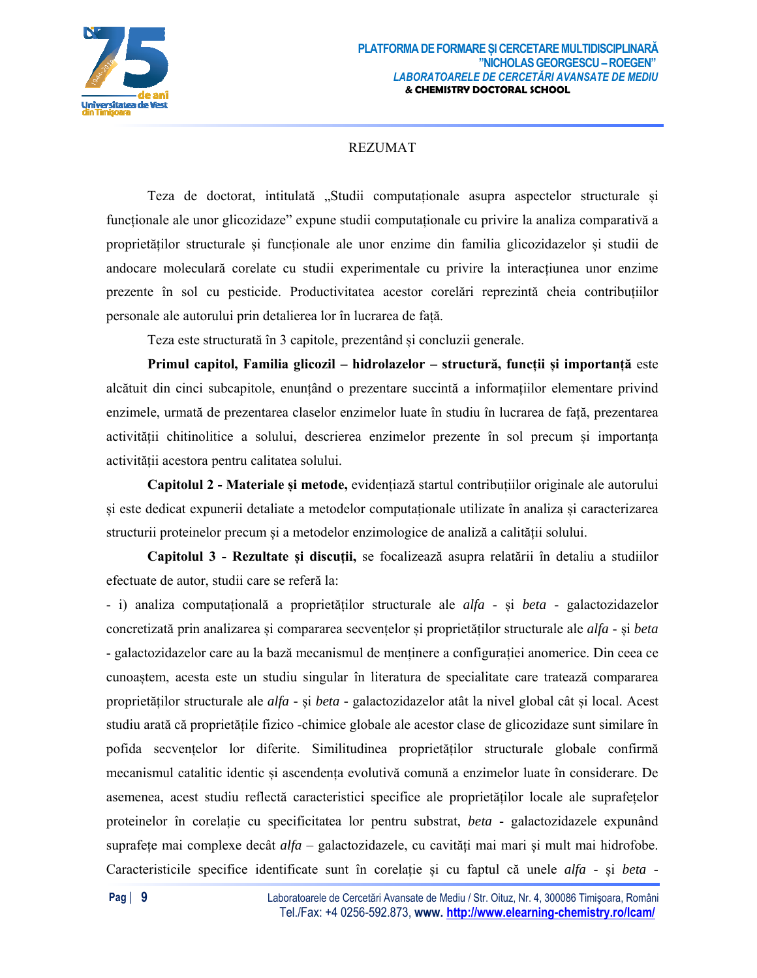

## REZUMAT

Teza de doctorat, intitulată "Studii computaționale asupra aspectelor structurale și funcționale ale unor glicozidaze" expune studii computaționale cu privire la analiza comparativă a proprietăților structurale și funcționale ale unor enzime din familia glicozidazelor și studii de andocare moleculară corelate cu studii experimentale cu privire la interacțiunea unor enzime prezente în sol cu pesticide. Productivitatea acestor corelări reprezintă cheia contribuțiilor personale ale autorului prin detalierea lor în lucrarea de față.

Teza este structurată în 3 capitole, prezentând și concluzii generale.

**Primul capitol, Familia glicozil – hidrolazelor – structură, funcții și importanță** este alcătuit din cinci subcapitole, enunțând o prezentare succintă a informațiilor elementare privind enzimele, urmată de prezentarea claselor enzimelor luate în studiu în lucrarea de față, prezentarea activității chitinolitice a solului, descrierea enzimelor prezente în sol precum și importanța activității acestora pentru calitatea solului.

**Capitolul 2 - Materiale și metode,** evidențiază startul contribuțiilor originale ale autorului și este dedicat expunerii detaliate a metodelor computaționale utilizate în analiza și caracterizarea structurii proteinelor precum și a metodelor enzimologice de analiză a calității solului.

**Capitolul 3 - Rezultate și discuții,** se focalizează asupra relatării în detaliu a studiilor efectuate de autor, studii care se referă la:

- i) analiza computațională a proprietăților structurale ale *alfa* - și *beta* - galactozidazelor concretizată prin analizarea și compararea secvențelor și proprietăților structurale ale *alfa* - și *beta*  - galactozidazelor care au la bază mecanismul de menținere a configurației anomerice. Din ceea ce cunoaștem, acesta este un studiu singular în literatura de specialitate care tratează compararea proprietăților structurale ale *alfa -* și *beta -* galactozidazelor atât la nivel global cât și local. Acest studiu arată că proprietățile fizico -chimice globale ale acestor clase de glicozidaze sunt similare în pofida secvențelor lor diferite. Similitudinea proprietăților structurale globale confirmă mecanismul catalitic identic și ascendența evolutivă comună a enzimelor luate în considerare. De asemenea, acest studiu reflectă caracteristici specifice ale proprietăților locale ale suprafețelor proteinelor în corelație cu specificitatea lor pentru substrat, *beta* - galactozidazele expunând suprafețe mai complexe decât *alfa* – galactozidazele, cu cavități mai mari și mult mai hidrofobe. Caracteristicile specifice identificate sunt în corelație și cu faptul că unele *alfa* - și *beta* -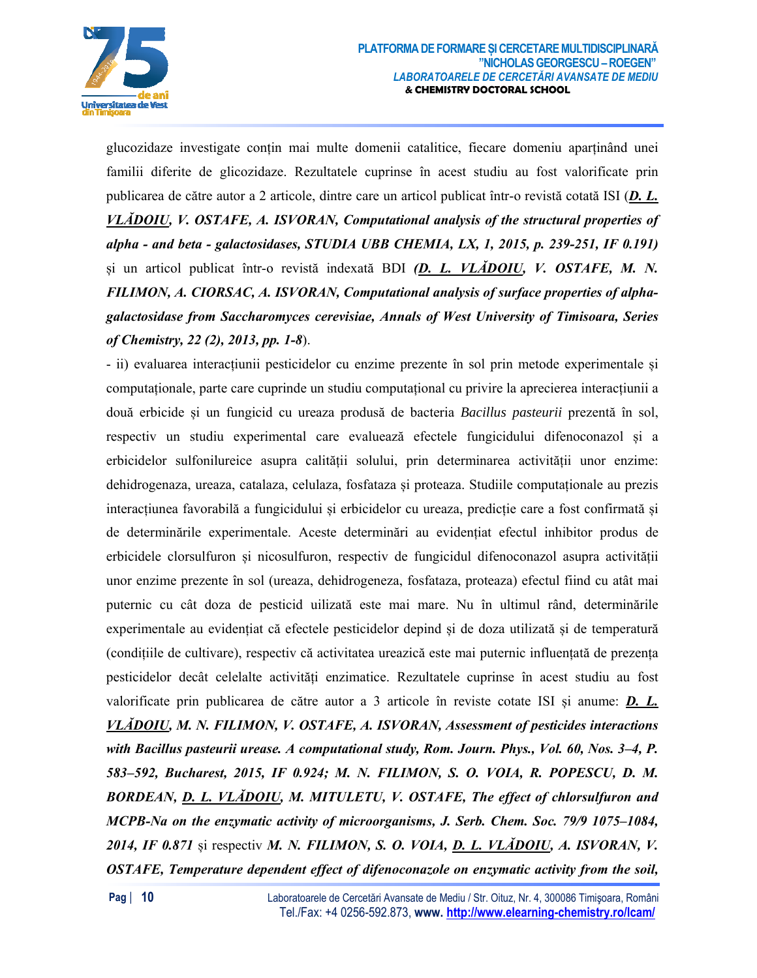

glucozidaze investigate conțin mai multe domenii catalitice, fiecare domeniu aparținând unei familii diferite de glicozidaze. Rezultatele cuprinse în acest studiu au fost valorificate prin publicarea de către autor a 2 articole, dintre care un articol publicat într-o revistă cotată ISI (*D. L. VLĂDOIU, V. OSTAFE, A. ISVORAN, Computational analysis of the structural properties of alpha - and beta - galactosidases, STUDIA UBB CHEMIA, LX, 1, 2015, p. 239-251, IF 0.191)*  și un articol publicat într-o revistă indexată BDI *(D. L. VLĂDOIU, V. OSTAFE, M. N. FILIMON, A. CIORSAC, A. ISVORAN, Computational analysis of surface properties of alphagalactosidase from Saccharomyces cerevisiae, Annals of West University of Timisoara, Series of Chemistry, 22 (2), 2013, pp. 1-8*).

- ii) evaluarea interacțiunii pesticidelor cu enzime prezente în sol prin metode experimentale și computaționale, parte care cuprinde un studiu computațional cu privire la aprecierea interacțiunii a două erbicide și un fungicid cu ureaza produsă de bacteria *Bacillus pasteurii* prezentă în sol, respectiv un studiu experimental care evaluează efectele fungicidului difenoconazol și a erbicidelor sulfonilureice asupra calității solului, prin determinarea activității unor enzime: dehidrogenaza, ureaza, catalaza, celulaza, fosfataza și proteaza. Studiile computaționale au prezis interacțiunea favorabilă a fungicidului și erbicidelor cu ureaza, predicție care a fost confirmată și de determinările experimentale. Aceste determinări au evidențiat efectul inhibitor produs de erbicidele clorsulfuron și nicosulfuron, respectiv de fungicidul difenoconazol asupra activității unor enzime prezente în sol (ureaza, dehidrogeneza, fosfataza, proteaza) efectul fiind cu atât mai puternic cu cât doza de pesticid uilizată este mai mare. Nu în ultimul rând, determinările experimentale au evidențiat că efectele pesticidelor depind și de doza utilizată și de temperatură (condițiile de cultivare), respectiv că activitatea ureazică este mai puternic influențată de prezența pesticidelor decât celelalte activități enzimatice. Rezultatele cuprinse în acest studiu au fost valorificate prin publicarea de către autor a 3 articole în reviste cotate ISI și anume: *D. L. VLĂDOIU, M. N. FILIMON, V. OSTAFE, A. ISVORAN, Assessment of pesticides interactions with Bacillus pasteurii urease. A computational study, Rom. Journ. Phys., Vol. 60, Nos. 3–4, P. 583–592, Bucharest, 2015, IF 0.924; M. N. FILIMON, S. O. VOIA, R. POPESCU, D. M. BORDEAN, D. L. VLĂDOIU, M. MITULETU, V. OSTAFE, The effect of chlorsulfuron and MCPB-Na on the enzymatic activity of microorganisms, J. Serb. Chem. Soc. 79/9 1075–1084, 2014, IF 0.871* și respectiv *M. N. FILIMON, S. O. VOIA, D. L. VLĂDOIU, A. ISVORAN, V. OSTAFE, Temperature dependent effect of difenoconazole on enzymatic activity from the soil,*